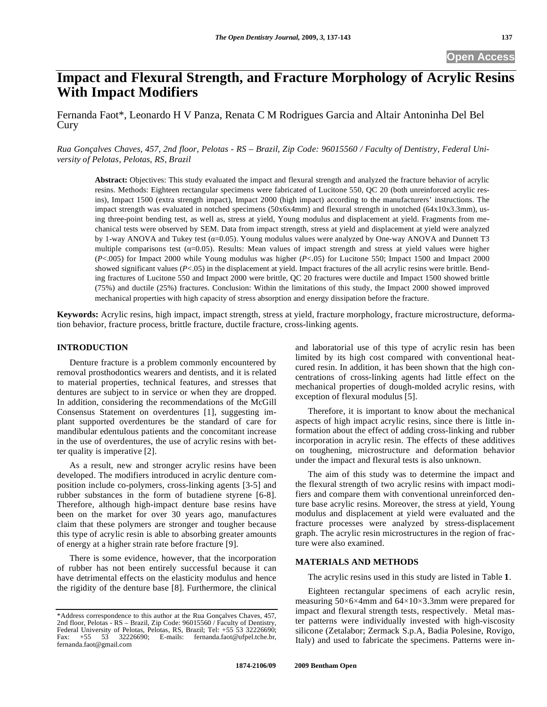# **Impact and Flexural Strength, and Fracture Morphology of Acrylic Resins With Impact Modifiers**

Fernanda Faot\*, Leonardo H V Panza, Renata C M Rodrigues Garcia and Altair Antoninha Del Bel Cury

*Rua Gonçalves Chaves, 457, 2nd floor, Pelotas - RS – Brazil, Zip Code: 96015560 / Faculty of Dentistry, Federal University of Pelotas, Pelotas, RS, Brazil* 

**Abstract:** Objectives: This study evaluated the impact and flexural strength and analyzed the fracture behavior of acrylic resins. Methods: Eighteen rectangular specimens were fabricated of Lucitone 550, QC 20 (both unreinforced acrylic resins), Impact 1500 (extra strength impact), Impact 2000 (high impact) according to the manufacturers' instructions. The impact strength was evaluated in notched specimens (50x6x4mm) and flexural strength in unotched (64x10x3.3mm), using three-point bending test, as well as, stress at yield, Young modulus and displacement at yield. Fragments from mechanical tests were observed by SEM. Data from impact strength, stress at yield and displacement at yield were analyzed by 1-way ANOVA and Tukey test  $(a=0.05)$ . Young modulus values were analyzed by One-way ANOVA and Dunnett T3 multiple comparisons test  $(a=0.05)$ . Results: Mean values of impact strength and stress at yield values were higher (*P*<.005) for Impact 2000 while Young modulus was higher (*P*<.05) for Lucitone 550; Impact 1500 and Impact 2000 showed significant values  $(P<.05)$  in the displacement at yield. Impact fractures of the all acrylic resins were brittle. Bending fractures of Lucitone 550 and Impact 2000 were brittle, QC 20 fractures were ductile and Impact 1500 showed brittle (75%) and ductile (25%) fractures. Conclusion: Within the limitations of this study, the Impact 2000 showed improved mechanical properties with high capacity of stress absorption and energy dissipation before the fracture.

**Keywords:** Acrylic resins, high impact, impact strength, stress at yield, fracture morphology, fracture microstructure, deformation behavior, fracture process, brittle fracture, ductile fracture, cross-linking agents.

# **INTRODUCTION**

Denture fracture is a problem commonly encountered by removal prosthodontics wearers and dentists, and it is related to material properties, technical features, and stresses that dentures are subject to in service or when they are dropped. In addition, considering the recommendations of the McGill Consensus Statement on overdentures [1], suggesting implant supported overdentures be the standard of care for mandibular edentulous patients and the concomitant increase in the use of overdentures, the use of acrylic resins with better quality is imperative [2].

As a result, new and stronger acrylic resins have been developed. The modifiers introduced in acrylic denture composition include co-polymers, cross-linking agents [3-5] and rubber substances in the form of butadiene styrene [6-8]. Therefore, although high-impact denture base resins have been on the market for over 30 years ago, manufactures claim that these polymers are stronger and tougher because this type of acrylic resin is able to absorbing greater amounts of energy at a higher strain rate before fracture [9].

There is some evidence, however, that the incorporation of rubber has not been entirely successful because it can have detrimental effects on the elasticity modulus and hence the rigidity of the denture base [8]. Furthermore, the clinical and laboratorial use of this type of acrylic resin has been limited by its high cost compared with conventional heatcured resin. In addition, it has been shown that the high concentrations of cross-linking agents had little effect on the mechanical properties of dough-molded acrylic resins, with exception of flexural modulus [5].

Therefore, it is important to know about the mechanical aspects of high impact acrylic resins, since there is little information about the effect of adding cross-linking and rubber incorporation in acrylic resin. The effects of these additives on toughening, microstructure and deformation behavior under the impact and flexural tests is also unknown.

The aim of this study was to determine the impact and the flexural strength of two acrylic resins with impact modifiers and compare them with conventional unreinforced denture base acrylic resins. Moreover, the stress at yield, Young modulus and displacement at yield were evaluated and the fracture processes were analyzed by stress-displacement graph. The acrylic resin microstructures in the region of fracture were also examined.

#### **MATERIALS AND METHODS**

The acrylic resins used in this study are listed in Table **1**.

Eighteen rectangular specimens of each acrylic resin, measuring  $50\times6\times4$ mm and  $64\times10\times3.3$ mm were prepared for impact and flexural strength tests, respectively. Metal master patterns were individually invested with high-viscosity silicone (Zetalabor; Zermack S.p.A, Badia Polesine, Rovigo, Italy) and used to fabricate the specimens. Patterns were in-

<sup>\*</sup>Address correspondence to this author at the Rua Gonçalves Chaves, 457, 2nd floor, Pelotas - RS – Brazil, Zip Code: 96015560 / Faculty of Dentistry, Federal University of Pelotas, Pelotas, RS, Brazil; Tel: +55 53 32226690; Fax: +55 53 32226690; E-mails: fernanda.faot@ufpel.tche.br, fernanda.faot@gmail.com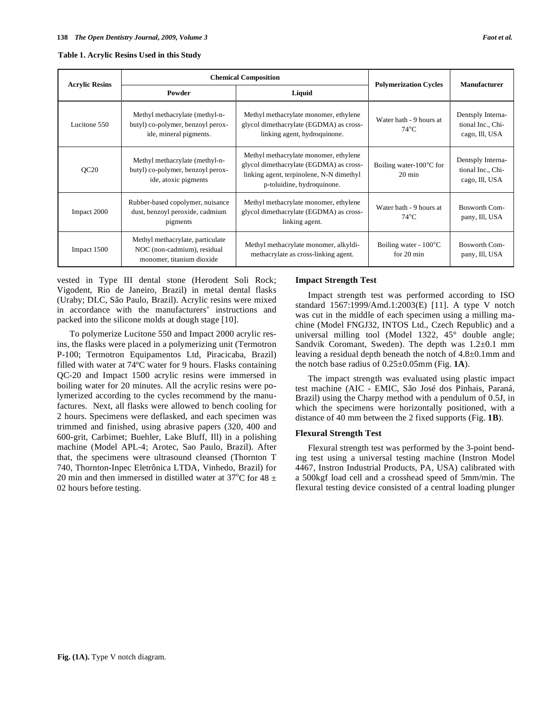| <b>Acrylic Resins</b> | <b>Chemical Composition</b>                                                                   |                                                                                                                                                               | <b>Polymerization Cycles</b>                            | <b>Manufacturer</b>                                      |
|-----------------------|-----------------------------------------------------------------------------------------------|---------------------------------------------------------------------------------------------------------------------------------------------------------------|---------------------------------------------------------|----------------------------------------------------------|
|                       | Powder                                                                                        | Liquid                                                                                                                                                        |                                                         |                                                          |
| Lucitone 550          | Methyl methacrylate (methyl-n-<br>butyl) co-polymer, benzoyl perox-<br>ide, mineral pigments. | Methyl methacrylate monomer, ethylene<br>Water bath - 9 hours at<br>glycol dimethacrylate (EGDMA) as cross-<br>$74^{\circ}$ C<br>linking agent, hydroquinone. |                                                         | Dentsply Interna-<br>tional Inc., Chi-<br>cago, Ill, USA |
| QC20                  | Methyl methacrylate (methyl-n-<br>butyl) co-polymer, benzoyl perox-<br>ide, atoxic pigments   | Methyl methacrylate monomer, ethylene<br>glycol dimethacrylate (EGDMA) as cross-<br>linking agent, terpinolene, N-N dimethyl<br>p-toluidine, hydroquinone.    | Boiling water- $100^{\circ}$ C for<br>$20 \text{ min}$  | Dentsply Interna-<br>tional Inc., Chi-<br>cago, Ill, USA |
| Impact 2000           | Rubber-based copolymer, nuisance<br>dust, benzoyl peroxide, cadmium<br>pigments               | Methyl methacrylate monomer, ethylene<br>Water bath - 9 hours at<br>glycol dimethacrylate (EGDMA) as cross-<br>$74^{\circ}$ C<br>linking agent.               |                                                         | Bosworth Com-<br>pany, Ill, USA                          |
| Impact 1500           | Methyl methacrylate, particulate<br>NOC (non-cadmium), residual<br>monomer, titanium dioxide  | Methyl methacrylate monomer, alkyldi-<br>methacrylate as cross-linking agent.                                                                                 | Boiling water - $100^{\circ}$ C<br>for $20 \text{ min}$ | Bosworth Com-<br>pany, Ill, USA                          |

vested in Type III dental stone (Herodent Soli Rock; Vigodent, Rio de Janeiro, Brazil) in metal dental flasks (Uraby; DLC, São Paulo, Brazil). Acrylic resins were mixed in accordance with the manufacturers' instructions and packed into the silicone molds at dough stage [10].

To polymerize Lucitone 550 and Impact 2000 acrylic resins, the flasks were placed in a polymerizing unit (Termotron P-100; Termotron Equipamentos Ltd, Piracicaba, Brazil) filled with water at 74ºC water for 9 hours. Flasks containing QC-20 and Impact 1500 acrylic resins were immersed in boiling water for 20 minutes. All the acrylic resins were polymerized according to the cycles recommend by the manufactures. Next, all flasks were allowed to bench cooling for 2 hours. Specimens were deflasked, and each specimen was trimmed and finished, using abrasive papers (320, 400 and 600-grit, Carbimet; Buehler, Lake Bluff, Ill) in a polishing machine (Model APL-4; Arotec, Sao Paulo, Brazil). After that, the specimens were ultrasound cleansed (Thornton T 740, Thornton-Inpec Eletrônica LTDA, Vinhedo, Brazil) for 20 min and then immersed in distilled water at 37°C for 48  $\pm$ 02 hours before testing.

# **Impact Strength Test**

Impact strength test was performed according to ISO standard 1567:1999/Amd.1:2003(E) [11]. A type V notch was cut in the middle of each specimen using a milling machine (Model FNGJ32, INTOS Ltd., Czech Republic) and a universal milling tool (Model 1322, 45° double angle; Sandvik Coromant, Sweden). The depth was 1.2±0.1 mm leaving a residual depth beneath the notch of 4.8±0.1mm and the notch base radius of 0.25±0.05mm (Fig. **1A**).

The impact strength was evaluated using plastic impact test machine (AIC - EMIC, São José dos Pinhais, Paraná, Brazil) using the Charpy method with a pendulum of 0.5J, in which the specimens were horizontally positioned, with a distance of 40 mm between the 2 fixed supports (Fig. **1B**).

#### **Flexural Strength Test**

Flexural strength test was performed by the 3-point bending test using a universal testing machine (Instron Model 4467, Instron Industrial Products, PA, USA) calibrated with a 500kgf load cell and a crosshead speed of 5mm/min. The flexural testing device consisted of a central loading plunger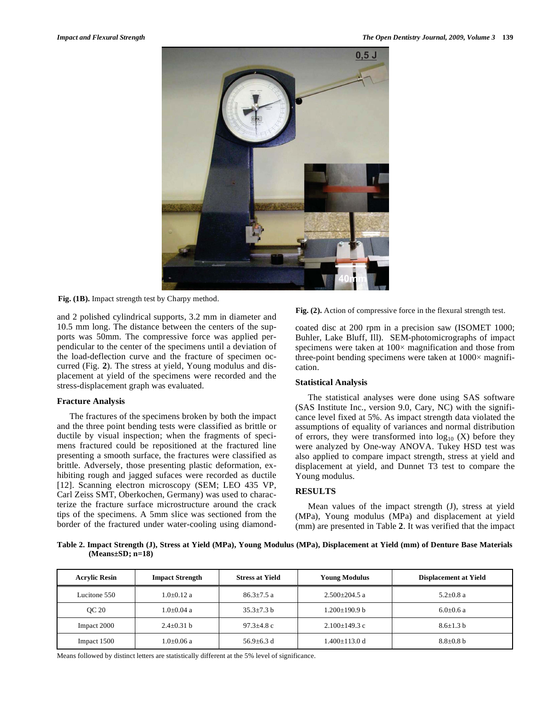

**Fig. (1B).** Impact strength test by Charpy method.

and 2 polished cylindrical supports, 3.2 mm in diameter and 10.5 mm long. The distance between the centers of the supports was 50mm. The compressive force was applied perpendicular to the center of the specimens until a deviation of the load-deflection curve and the fracture of specimen occurred (Fig. **2**). The stress at yield, Young modulus and displacement at yield of the specimens were recorded and the stress-displacement graph was evaluated.

#### **Fracture Analysis**

The fractures of the specimens broken by both the impact and the three point bending tests were classified as brittle or ductile by visual inspection; when the fragments of specimens fractured could be repositioned at the fractured line presenting a smooth surface, the fractures were classified as brittle. Adversely, those presenting plastic deformation, exhibiting rough and jagged sufaces were recorded as ductile [12]. Scanning electron microscopy (SEM; LEO 435 VP, Carl Zeiss SMT, Oberkochen, Germany) was used to characterize the fracture surface microstructure around the crack tips of the specimens. A 5mm slice was sectioned from the border of the fractured under water-cooling using diamond**Fig. (2).** Action of compressive force in the flexural strength test.

coated disc at 200 rpm in a precision saw (ISOMET 1000; Buhler, Lake Bluff, Ill). SEM-photomicrographs of impact specimens were taken at  $100 \times$  magnification and those from three-point bending specimens were taken at  $1000 \times$  magnification.

#### **Statistical Analysis**

The statistical analyses were done using SAS software (SAS Institute Inc., version 9.0, Cary, NC) with the significance level fixed at 5%. As impact strength data violated the assumptions of equality of variances and normal distribution of errors, they were transformed into  $log_{10} (X)$  before they were analyzed by One-way ANOVA. Tukey HSD test was also applied to compare impact strength, stress at yield and displacement at yield, and Dunnet T3 test to compare the Young modulus.

# **RESULTS**

Mean values of the impact strength (J), stress at yield (MPa), Young modulus (MPa) and displacement at yield (mm) are presented in Table **2**. It was verified that the impact

**Table 2. Impact Strength (J), Stress at Yield (MPa), Young Modulus (MPa), Displacement at Yield (mm) of Denture Base Materials (Means±SD; n=18)** 

| <b>Acrylic Resin</b> | <b>Impact Strength</b> | <b>Stress at Yield</b> | <b>Young Modulus</b> | <b>Displacement at Yield</b> |
|----------------------|------------------------|------------------------|----------------------|------------------------------|
| Lucitone 550         | $1.0 + 0.12$ a         | $86.3 \pm 7.5$ a       | $2.500+204.5$ a      | $5.2 + 0.8$ a                |
| <b>OC 20</b>         | 1.0±0.04 a             | $35.3 + 7.3 h$         | 1.200±190.9 b        | $6.0 + 0.6 a$                |
| Impact 2000          | $2.4 + 0.31$ b         | $97.3 + 4.8$ c         | $2.100+149.3c$       | $8.6 + 1.3 h$                |
| Impact 1500          | 1.0±0.06 a             | $56.9 + 6.3$ d         | 1.400±113.0 d        | $8.8 \pm 0.8$ b              |

Means followed by distinct letters are statistically different at the 5% level of significance.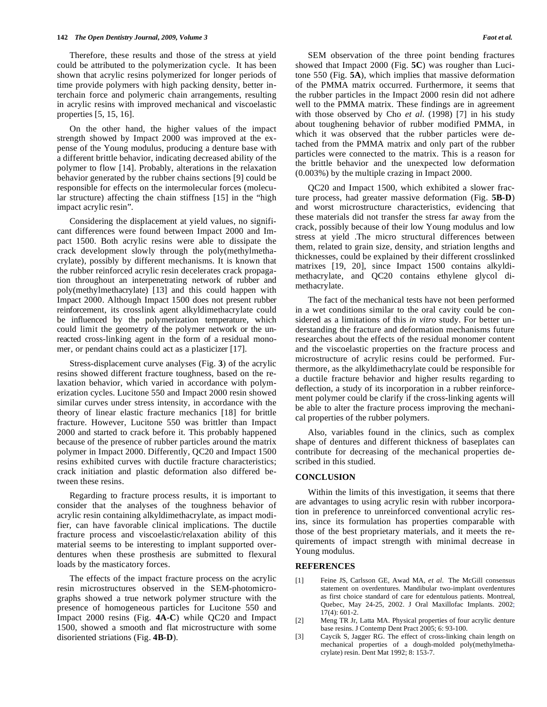Therefore, these results and those of the stress at yield could be attributed to the polymerization cycle. It has been shown that acrylic resins polymerized for longer periods of time provide polymers with high packing density, better interchain force and polymeric chain arrangements, resulting in acrylic resins with improved mechanical and viscoelastic properties [5, 15, 16].

On the other hand, the higher values of the impact strength showed by Impact 2000 was improved at the expense of the Young modulus, producing a denture base with a different brittle behavior, indicating decreased ability of the polymer to flow [14]. Probably, alterations in the relaxation behavior generated by the rubber chains sections [9] could be responsible for effects on the intermolecular forces (molecular structure) affecting the chain stiffness [15] in the "high impact acrylic resin".

Considering the displacement at yield values, no significant differences were found between Impact 2000 and Impact 1500. Both acrylic resins were able to dissipate the crack development slowly through the poly(methylmethacrylate), possibly by different mechanisms. It is known that the rubber reinforced acrylic resin decelerates crack propagation throughout an interpenetrating network of rubber and poly(methylmethacrylate) [13] and this could happen with Impact 2000. Although Impact 1500 does not present rubber reinforcement, its crosslink agent alkyldimethacrylate could be influenced by the polymerization temperature, which could limit the geometry of the polymer network or the unreacted cross-linking agent in the form of a residual monomer, or pendant chains could act as a plasticizer [17].

Stress-displacement curve analyses (Fig. **3**) of the acrylic resins showed different fracture toughness, based on the relaxation behavior, which varied in accordance with polymerization cycles. Lucitone 550 and Impact 2000 resin showed similar curves under stress intensity, in accordance with the theory of linear elastic fracture mechanics [18] for brittle fracture. However, Lucitone 550 was brittler than Impact 2000 and started to crack before it. This probably happened because of the presence of rubber particles around the matrix polymer in Impact 2000. Differently, QC20 and Impact 1500 resins exhibited curves with ductile fracture characteristics; crack initiation and plastic deformation also differed between these resins.

Regarding to fracture process results, it is important to consider that the analyses of the toughness behavior of acrylic resin containing alkyldimethacrylate, as impact modifier, can have favorable clinical implications. The ductile fracture process and viscoelastic/relaxation ability of this material seems to be interesting to implant supported overdentures when these prosthesis are submitted to flexural loads by the masticatory forces.

The effects of the impact fracture process on the acrylic resin microstructures observed in the SEM-photomicrographs showed a true network polymer structure with the presence of homogeneous particles for Lucitone 550 and Impact 2000 resins (Fig. **4A-C**) while QC20 and Impact 1500, showed a smooth and flat microstructure with some disoriented striations (Fig. **4B-D**).

SEM observation of the three point bending fractures showed that Impact 2000 (Fig. **5C**) was rougher than Lucitone 550 (Fig. **5A**), which implies that massive deformation of the PMMA matrix occurred. Furthermore, it seems that the rubber particles in the Impact 2000 resin did not adhere well to the PMMA matrix. These findings are in agreement with those observed by Cho *et al.* (1998) [7] in his study about toughening behavior of rubber modified PMMA, in which it was observed that the rubber particles were detached from the PMMA matrix and only part of the rubber particles were connected to the matrix. This is a reason for the brittle behavior and the unexpected low deformation (0.003%) by the multiple crazing in Impact 2000.

QC20 and Impact 1500, which exhibited a slower fracture process, had greater massive deformation (Fig. **5B-D**) and worst microstructure characteristics, evidencing that these materials did not transfer the stress far away from the crack, possibly because of their low Young modulus and low stress at yield .The micro structural differences between them, related to grain size, density, and striation lengths and thicknesses, could be explained by their different crosslinked matrixes [19, 20], since Impact 1500 contains alkyldimethacrylate, and QC20 contains ethylene glycol dimethacrylate.

The fact of the mechanical tests have not been performed in a wet conditions similar to the oral cavity could be considered as a limitations of this *in vitro* study. For better understanding the fracture and deformation mechanisms future researches about the effects of the residual monomer content and the viscoelastic properties on the fracture process and microstructure of acrylic resins could be performed. Furthermore, as the alkyldimethacrylate could be responsible for a ductile fracture behavior and higher results regarding to deflection, a study of its incorporation in a rubber reinforcement polymer could be clarify if the cross-linking agents will be able to alter the fracture process improving the mechanical properties of the rubber polymers.

Also, variables found in the clinics, such as complex shape of dentures and different thickness of baseplates can contribute for decreasing of the mechanical properties described in this studied.

#### **CONCLUSION**

Within the limits of this investigation, it seems that there are advantages to using acrylic resin with rubber incorporation in preference to unreinforced conventional acrylic resins, since its formulation has properties comparable with those of the best proprietary materials, and it meets the requirements of impact strength with minimal decrease in Young modulus.

#### **REFERENCES**

- [1] Feine JS, Carlsson GE, Awad MA, *et al*. The McGill consensus statement on overdentures. Mandibular two-implant overdentures as first choice standard of care for edentulous patients. Montreal, Quebec, May 24-25, 2002. J Oral Maxillofac Implants. 2002; 17(4): 601-2.
- [2] Meng TR Jr, Latta MA. Physical properties of four acrylic denture base resins. J Contemp Dent Pract 2005; 6: 93-100.
- [3] Caycik S, Jagger RG. The effect of cross-linking chain length on mechanical properties of a dough-molded poly(methylmethacrylate) resin. Dent Mat 1992; 8: 153-7.